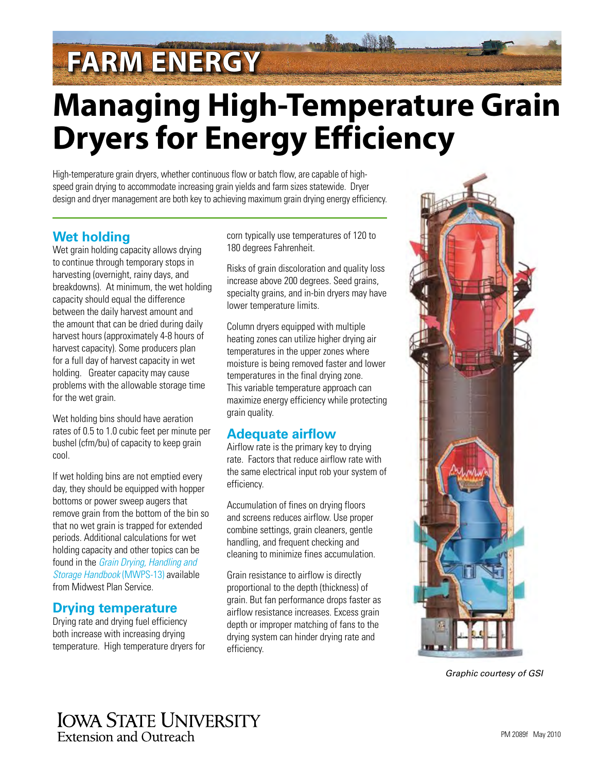# **FARM ENERGY**

# **Managing High-Temperature Grain Dryers for Energy Efficiency**

High-temperature grain dryers, whether continuous flow or batch flow, are capable of highspeed grain drying to accommodate increasing grain yields and farm sizes statewide. Dryer design and dryer management are both key to achieving maximum grain drying energy efficiency.

### **Wet holding**

Wet grain holding capacity allows drying to continue through temporary stops in harvesting (overnight, rainy days, and breakdowns). At minimum, the wet holding capacity should equal the difference between the daily harvest amount and the amount that can be dried during daily harvest hours (approximately 4-8 hours of harvest capacity). Some producers plan for a full day of harvest capacity in wet holding. Greater capacity may cause problems with the allowable storage time for the wet grain.

Wet holding bins should have aeration rates of 0.5 to 1.0 cubic feet per minute per bushel (cfm/bu) of capacity to keep grain cool.

If wet holding bins are not emptied every day, they should be equipped with hopper bottoms or power sweep augers that remove grain from the bottom of the bin so that no wet grain is trapped for extended periods. Additional calculations for wet holding capacity and other topics can be found in the *[Grain Drying, Handling and](http://www.mwps.org/index.cfm?fuseaction=c_Products.viewProduct&catID=715&productID=6468&skunumber=MWPS%2D13&crow=3))  [Storage Handbook](http://www.mwps.org/index.cfm?fuseaction=c_Products.viewProduct&catID=715&productID=6468&skunumber=MWPS%2D13&crow=3))* (MWPS-13) available from Midwest Plan Service.

#### **Drying temperature**

Drying rate and drying fuel efficiency both increase with increasing drying temperature. High temperature dryers for corn typically use temperatures of 120 to 180 degrees Fahrenheit.

Risks of grain discoloration and quality loss increase above 200 degrees. Seed grains, specialty grains, and in-bin dryers may have lower temperature limits.

Column dryers equipped with multiple heating zones can utilize higher drying air temperatures in the upper zones where moisture is being removed faster and lower temperatures in the final drying zone. This variable temperature approach can maximize energy efficiency while protecting grain quality.

### **Adequate airflow**

Airflow rate is the primary key to drying rate. Factors that reduce airflow rate with the same electrical input rob your system of efficiency.

Accumulation of fines on drying floors and screens reduces airflow. Use proper combine settings, grain cleaners, gentle handling, and frequent checking and cleaning to minimize fines accumulation.

Grain resistance to airflow is directly proportional to the depth (thickness) of grain. But fan performance drops faster as airflow resistance increases. Excess grain depth or improper matching of fans to the drying system can hinder drying rate and efficiency.



*Graphic courtesy of GSI*

## **IOWA STATE UNIVERSITY** Extension and Outreach